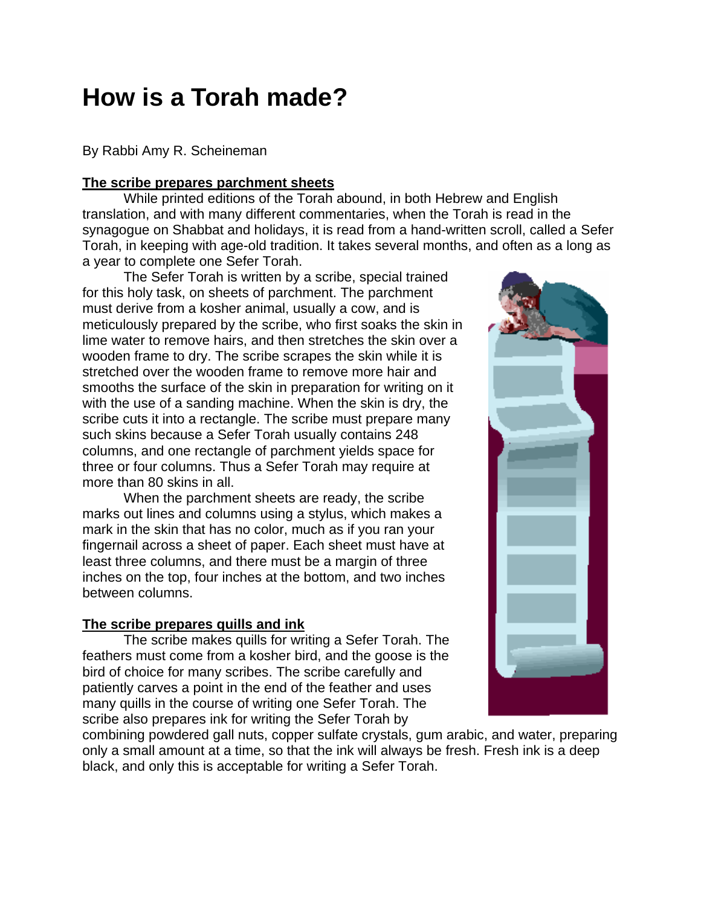# **How is a Torah made?**

By Rabbi Amy R. Scheineman

## **The scribe prepares parchment sheets**

While printed editions of the Torah abound, in both Hebrew and English translation, and with many different commentaries, when the Torah is read in the synagogue on Shabbat and holidays, it is read from a hand-written scroll, called a Sefer Torah, in keeping with age-old tradition. It takes several months, and often as a long as a year to complete one Sefer Torah.

The Sefer Torah is written by a scribe, special trained for this holy task, on sheets of parchment. The parchment must derive from a kosher animal, usually a cow, and is meticulously prepared by the scribe, who first soaks the skin in lime water to remove hairs, and then stretches the skin over a wooden frame to dry. The scribe scrapes the skin while it is stretched over the wooden frame to remove more hair and smooths the surface of the skin in preparation for writing on it with the use of a sanding machine. When the skin is dry, the scribe cuts it into a rectangle. The scribe must prepare many such skins because a Sefer Torah usually contains 248 columns, and one rectangle of parchment yields space for three or four columns. Thus a Sefer Torah may require at more than 80 skins in all.

 When the parchment sheets are ready, the scribe marks out lines and columns using a stylus, which makes a mark in the skin that has no color, much as if you ran your fingernail across a sheet of paper. Each sheet must have at least three columns, and there must be a margin of three inches on the top, four inches at the bottom, and two inches between columns.

## **The scribe prepares quills and ink**

The scribe makes quills for writing a Sefer Torah. The feathers must come from a kosher bird, and the goose is the bird of choice for many scribes. The scribe carefully and patiently carves a point in the end of the feather and uses many quills in the course of writing one Sefer Torah. The scribe also prepares ink for writing the Sefer Torah by



combining powdered gall nuts, copper sulfate crystals, gum arabic, and water, preparing only a small amount at a time, so that the ink will always be fresh. Fresh ink is a deep black, and only this is acceptable for writing a Sefer Torah.